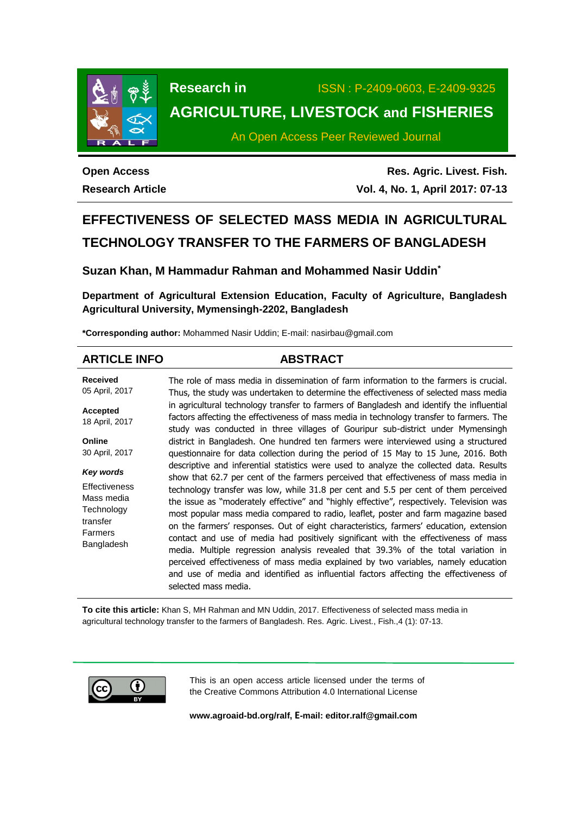

# **Research in** ISSN : P-2409-0603, E-2409-9325 **AGRICULTURE, LIVESTOCK and FISHERIES**

An Open Access Peer Reviewed Journal

**Open Access Research Article**

**Res. Agric. Livest. Fish. Vol. 4, No. 1, April 2017: 07-13**

# **EFFECTIVENESS OF SELECTED MASS MEDIA IN AGRICULTURAL TECHNOLOGY TRANSFER TO THE FARMERS OF BANGLADESH**

**Suzan Khan, M Hammadur Rahman and Mohammed Nasir Uddin\***

**Department of Agricultural Extension Education, Faculty of Agriculture, Bangladesh Agricultural University, Mymensingh-2202, Bangladesh**

**\*Corresponding author:** Mohammed Nasir Uddin; E-mail: nasirbau@gmail.com

# **ARTICLE INFO ABSTRACT**

**Received** 05 April, 2017 **Accepted** 18 April, 2017 **Online** 30 April, 2017 *Key words* **Effectiveness** Mass media **Technology** transfer Farmers Bangladesh The role of mass media in dissemination of farm information to the farmers is crucial. Thus, the study was undertaken to determine the effectiveness of selected mass media in agricultural technology transfer to farmers of Bangladesh and identify the influential factors affecting the effectiveness of mass media in technology transfer to farmers. The study was conducted in three villages of Gouripur sub-district under Mymensingh district in Bangladesh. One hundred ten farmers were interviewed using a structured questionnaire for data collection during the period of 15 May to 15 June, 2016. Both descriptive and inferential statistics were used to analyze the collected data. Results show that 62.7 per cent of the farmers perceived that effectiveness of mass media in technology transfer was low, while 31.8 per cent and 5.5 per cent of them perceived the issue as "moderately effective" and "highly effective", respectively. Television was most popular mass media compared to radio, leaflet, poster and farm magazine based on the farmers' responses. Out of eight characteristics, farmers' education, extension contact and use of media had positively significant with the effectiveness of mass media. Multiple regression analysis revealed that 39.3% of the total variation in perceived effectiveness of mass media explained by two variables, namely education and use of media and identified as influential factors affecting the effectiveness of selected mass media.

**To cite this article:** Khan S, MH Rahman and MN Uddin, 2017. Effectiveness of selected mass media in agricultural technology transfer to the farmers of Bangladesh. Res. Agric. Livest., Fish.,4 (1): 07-13.



This is an open access article licensed under the terms of the Creative Commons Attribution 4.0 International License

**[www.agroaid-bd.org/ralf,](http://www.agroaid-bd.org/ralf) E-mail[: editor.ralf@gmail.com](mailto:editor.ralf@gmail.com)**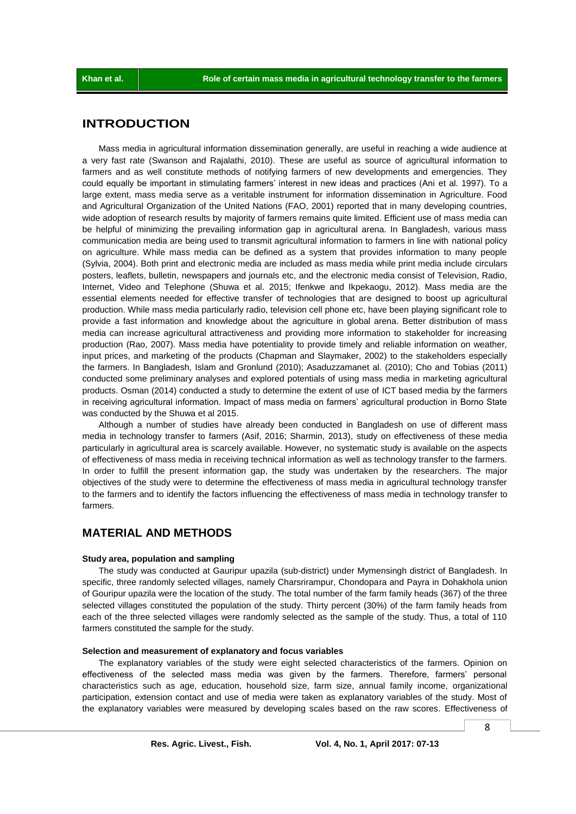# **INTRODUCTION**

Mass media in agricultural information dissemination generally, are useful in reaching a wide audience at a very fast rate (Swanson and Rajalathi, 2010). These are useful as source of agricultural information to farmers and as well constitute methods of notifying farmers of new developments and emergencies. They could equally be important in stimulating farmers' interest in new ideas and practices (Ani et al. 1997). To a large extent, mass media serve as a veritable instrument for information dissemination in Agriculture. Food and Agricultural Organization of the United Nations (FAO, 2001) reported that in many developing countries, wide adoption of research results by majority of farmers remains quite limited. Efficient use of mass media can be helpful of minimizing the prevailing information gap in agricultural arena. In Bangladesh, various mass communication media are being used to transmit agricultural information to farmers in line with national policy on agriculture. While mass media can be defined as a system that provides information to many people (Sylvia, 2004). Both print and electronic media are included as mass media while print media include circulars posters, leaflets, bulletin, newspapers and journals etc, and the electronic media consist of Television, Radio, Internet, Video and Telephone (Shuwa et al. 2015; Ifenkwe and Ikpekaogu, 2012). Mass media are the essential elements needed for effective transfer of technologies that are designed to boost up agricultural production. While mass media particularly radio, television cell phone etc, have been playing significant role to provide a fast information and knowledge about the agriculture in global arena. Better distribution of mass media can increase agricultural attractiveness and providing more information to stakeholder for increasing production (Rao, 2007). Mass media have potentiality to provide timely and reliable information on weather, input prices, and marketing of the products (Chapman and Slaymaker, 2002) to the stakeholders especially the farmers. In Bangladesh, Islam and Gronlund (2010); Asaduzzamanet al. (2010); Cho and Tobias (2011) conducted some preliminary analyses and explored potentials of using mass media in marketing agricultural products. Osman (2014) conducted a study to determine the extent of use of ICT based media by the farmers in receiving agricultural information. Impact of mass media on farmers' agricultural production in Borno State was conducted by the Shuwa et al 2015.

Although a number of studies have already been conducted in Bangladesh on use of different mass media in technology transfer to farmers (Asif, 2016; Sharmin, 2013), study on effectiveness of these media particularly in agricultural area is scarcely available. However, no systematic study is available on the aspects of effectiveness of mass media in receiving technical information as well as technology transfer to the farmers. In order to fulfill the present information gap, the study was undertaken by the researchers. The major objectives of the study were to determine the effectiveness of mass media in agricultural technology transfer to the farmers and to identify the factors influencing the effectiveness of mass media in technology transfer to farmers.

# **MATERIAL AND METHODS**

#### **Study area, population and sampling**

The study was conducted at Gauripur upazila (sub-district) under Mymensingh district of Bangladesh. In specific, three randomly selected villages, namely Charsrirampur, Chondopara and Payra in Dohakhola union of Gouripur upazila were the location of the study. The total number of the farm family heads (367) of the three selected villages constituted the population of the study. Thirty percent (30%) of the farm family heads from each of the three selected villages were randomly selected as the sample of the study. Thus, a total of 110 farmers constituted the sample for the study.

## **Selection and measurement of explanatory and focus variables**

The explanatory variables of the study were eight selected characteristics of the farmers. Opinion on effectiveness of the selected mass media was given by the farmers. Therefore, farmers' personal characteristics such as age, education, household size, farm size, annual family income, organizational participation, extension contact and use of media were taken as explanatory variables of the study. Most of the explanatory variables were measured by developing scales based on the raw scores. Effectiveness of

8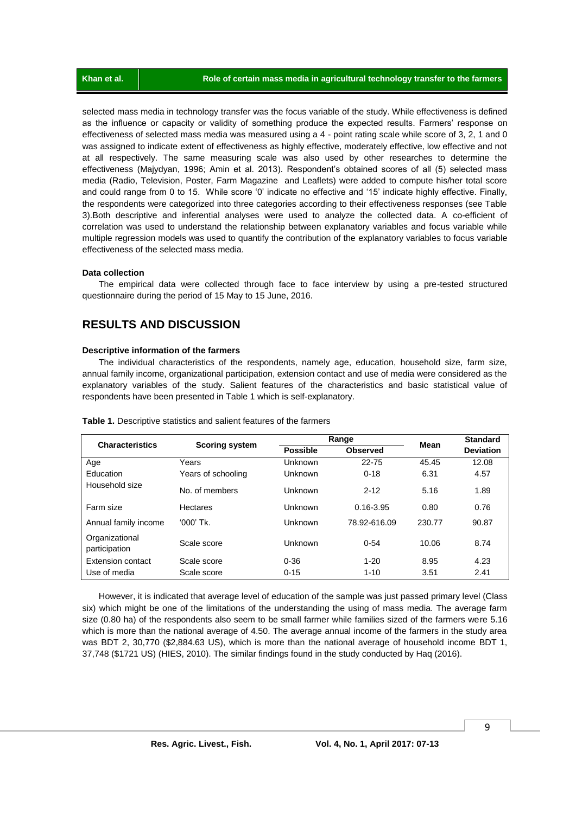selected mass media in technology transfer was the focus variable of the study. While effectiveness is defined as the influence or capacity or validity of something produce the expected results. Farmers' response on effectiveness of selected mass media was measured using a 4 - point rating scale while score of 3, 2, 1 and 0 was assigned to indicate extent of effectiveness as highly effective, moderately effective, low effective and not at all respectively. The same measuring scale was also used by other researches to determine the effectiveness (Majydyan, 1996; Amin et al. 2013). Respondent's obtained scores of all (5) selected mass media (Radio, Television, Poster, Farm Magazine and Leaflets) were added to compute his/her total score and could range from 0 to 15. While score '0' indicate no effective and '15' indicate highly effective. Finally, the respondents were categorized into three categories according to their effectiveness responses (see Table 3).Both descriptive and inferential analyses were used to analyze the collected data. A co-efficient of correlation was used to understand the relationship between explanatory variables and focus variable while multiple regression models was used to quantify the contribution of the explanatory variables to focus variable effectiveness of the selected mass media.

## **Data collection**

The empirical data were collected through face to face interview by using a pre-tested structured questionnaire during the period of 15 May to 15 June, 2016.

# **RESULTS AND DISCUSSION**

## **Descriptive information of the farmers**

The individual characteristics of the respondents, namely age, education, household size, farm size, annual family income, organizational participation, extension contact and use of media were considered as the explanatory variables of the study. Salient features of the characteristics and basic statistical value of respondents have been presented in Table 1 which is self-explanatory.

| <b>Characteristics</b>          | <b>Scoring system</b> |                 | Range           | Mean   | <b>Standard</b>  |  |
|---------------------------------|-----------------------|-----------------|-----------------|--------|------------------|--|
|                                 |                       | <b>Possible</b> | <b>Observed</b> |        | <b>Deviation</b> |  |
| Age                             | Years                 | Unknown         | 22-75           | 45.45  | 12.08            |  |
| Education                       | Years of schooling    | <b>Unknown</b>  | $0 - 18$        | 6.31   | 4.57             |  |
| Household size                  | No. of members        | Unknown         | $2 - 12$        | 5.16   | 1.89             |  |
| Farm size                       | <b>Hectares</b>       | Unknown         | $0.16 - 3.95$   | 0.80   | 0.76             |  |
| Annual family income            | $000'$ Tk.            | Unknown         | 78.92-616.09    | 230.77 | 90.87            |  |
| Organizational<br>participation | Scale score           | Unknown         | $0 - 54$        | 10.06  | 8.74             |  |
| <b>Extension contact</b>        | Scale score           | $0 - 36$        | $1 - 20$        | 8.95   | 4.23             |  |
| Use of media                    | Scale score           | $0 - 15$        | $1 - 10$        | 3.51   | 2.41             |  |

**Table 1.** Descriptive statistics and salient features of the farmers

However, it is indicated that average level of education of the sample was just passed primary level (Class six) which might be one of the limitations of the understanding the using of mass media. The average farm size (0.80 ha) of the respondents also seem to be small farmer while families sized of the farmers were 5.16 which is more than the national average of 4.50. The average annual income of the farmers in the study area was BDT 2, 30,770 (\$2,884.63 US), which is more than the national average of household income BDT 1, 37,748 (\$1721 US) (HIES, 2010). The similar findings found in the study conducted by Haq (2016).

9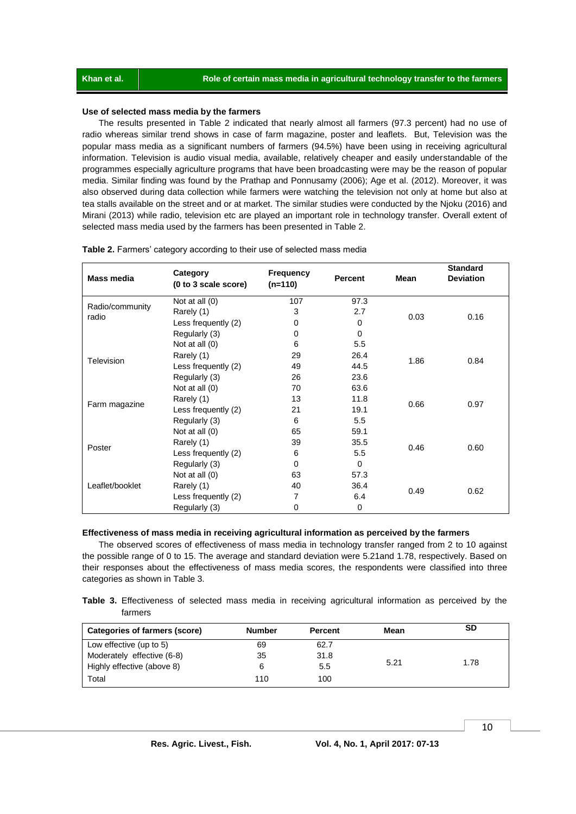#### **Use of selected mass media by the farmers**

The results presented in Table 2 indicated that nearly almost all farmers (97.3 percent) had no use of radio whereas similar trend shows in case of farm magazine, poster and leaflets. But, Television was the popular mass media as a significant numbers of farmers (94.5%) have been using in receiving agricultural information. Television is audio visual media, available, relatively cheaper and easily understandable of the programmes especially agriculture programs that have been broadcasting were may be the reason of popular media. Similar finding was found by the Prathap and Ponnusamy (2006); Age et al. (2012). Moreover, it was also observed during data collection while farmers were watching the television not only at home but also at tea stalls available on the street and or at market. The similar studies were conducted by the Njoku (2016) and Mirani (2013) while radio, television etc are played an important role in technology transfer. Overall extent of selected mass media used by the farmers has been presented in Table 2.

| <b>Mass media</b> | Category<br>(0 to 3 scale score) | Frequency<br>$(n=110)$ | <b>Percent</b> | Mean | <b>Standard</b><br><b>Deviation</b> |
|-------------------|----------------------------------|------------------------|----------------|------|-------------------------------------|
| Radio/community   | Not at all (0)                   | 107                    | 97.3           |      |                                     |
| radio             | Rarely (1)                       | 3                      | 2.7            | 0.03 | 0.16                                |
|                   | Less frequently (2)              | 0                      | $\Omega$       |      |                                     |
|                   | Regularly (3)                    | 0                      | 0              |      |                                     |
|                   | Not at all (0)                   | 6                      | 5.5            |      |                                     |
| Television        | Rarely (1)                       | 29                     | 26.4           | 1.86 | 0.84                                |
|                   | Less frequently (2)              | 49                     | 44.5           |      |                                     |
|                   | Regularly (3)                    | 26                     | 23.6           |      |                                     |
|                   | Not at all (0)                   | 70                     | 63.6           |      |                                     |
|                   | Rarely (1)                       | 13                     | 11.8           | 0.66 | 0.97                                |
| Farm magazine     | Less frequently (2)              | 21                     | 19.1           |      |                                     |
|                   | Regularly (3)                    | 6                      | 5.5            |      |                                     |
|                   | Not at all (0)                   | 65                     | 59.1           |      |                                     |
| Poster            | Rarely (1)                       | 39                     | 35.5           | 0.46 | 0.60                                |
|                   | Less frequently (2)              | 6                      | 5.5            |      |                                     |
|                   | Regularly (3)                    | 0                      | 0              |      |                                     |
|                   | Not at all (0)                   | 63                     | 57.3           |      |                                     |
| Leaflet/booklet   | Rarely (1)                       | 40                     | 36.4           | 0.49 |                                     |
|                   | Less frequently (2)              | 7                      | 6.4            |      | 0.62                                |
|                   | Regularly (3)                    | 0                      | 0              |      |                                     |

#### **Table 2.** Farmers' category according to their use of selected mass media

#### **Effectiveness of mass media in receiving agricultural information as perceived by the farmers**

The observed scores of effectiveness of mass media in technology transfer ranged from 2 to 10 against the possible range of 0 to 15. The average and standard deviation were 5.21and 1.78, respectively. Based on their responses about the effectiveness of mass media scores, the respondents were classified into three categories as shown in Table 3.

**Table 3.** Effectiveness of selected mass media in receiving agricultural information as perceived by the farmers

| Categories of farmers (score) | <b>Number</b> | <b>Percent</b> | Mean | SD   |
|-------------------------------|---------------|----------------|------|------|
| Low effective (up to 5)       | 69            | 62.7           |      |      |
| Moderately effective (6-8)    | 35            | 31.8           |      |      |
| Highly effective (above 8)    | 6             | 5.5            | 5.21 | 1.78 |
| Total                         | 110           | 100            |      |      |

10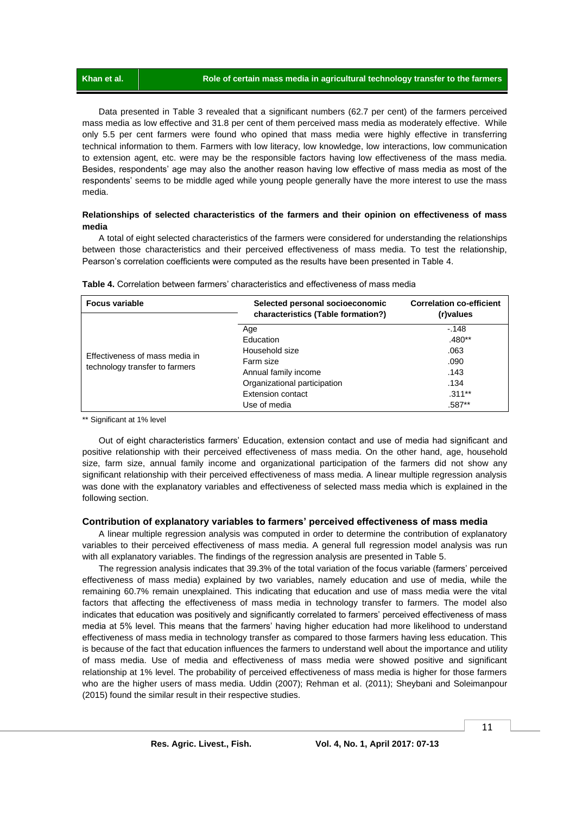Data presented in Table 3 revealed that a significant numbers (62.7 per cent) of the farmers perceived mass media as low effective and 31.8 per cent of them perceived mass media as moderately effective. While only 5.5 per cent farmers were found who opined that mass media were highly effective in transferring technical information to them. Farmers with low literacy, low knowledge, low interactions, low communication to extension agent, etc. were may be the responsible factors having low effectiveness of the mass media. Besides, respondents' age may also the another reason having low effective of mass media as most of the respondents' seems to be middle aged while young people generally have the more interest to use the mass media.

# **Relationships of selected characteristics of the farmers and their opinion on effectiveness of mass media**

A total of eight selected characteristics of the farmers were considered for understanding the relationships between those characteristics and their perceived effectiveness of mass media. To test the relationship, Pearson's correlation coefficients were computed as the results have been presented in Table 4.

| <b>Focus variable</b>          | Selected personal socioeconomic<br>characteristics (Table formation?) | <b>Correlation co-efficient</b><br>(r)values |  |
|--------------------------------|-----------------------------------------------------------------------|----------------------------------------------|--|
|                                | Age                                                                   | $-148$                                       |  |
|                                | Education                                                             | $.480**$                                     |  |
| Effectiveness of mass media in | Household size                                                        | .063                                         |  |
|                                | Farm size                                                             | .090                                         |  |
| technology transfer to farmers | Annual family income                                                  | .143                                         |  |
|                                | Organizational participation                                          | .134                                         |  |
|                                | Extension contact                                                     | $.311***$                                    |  |
|                                | Use of media                                                          | .587**                                       |  |

|  |  | <b>Table 4.</b> Correlation between farmers' characteristics and effectiveness of mass media |  |  |
|--|--|----------------------------------------------------------------------------------------------|--|--|
|  |  |                                                                                              |  |  |

\*\* Significant at 1% level

Out of eight characteristics farmers' Education, extension contact and use of media had significant and positive relationship with their perceived effectiveness of mass media. On the other hand, age, household size, farm size, annual family income and organizational participation of the farmers did not show any significant relationship with their perceived effectiveness of mass media. A linear multiple regression analysis was done with the explanatory variables and effectiveness of selected mass media which is explained in the following section.

# **Contribution of explanatory variables to farmers' perceived effectiveness of mass media**

A linear multiple regression analysis was computed in order to determine the contribution of explanatory variables to their perceived effectiveness of mass media. A general full regression model analysis was run with all explanatory variables. The findings of the regression analysis are presented in Table 5.

The regression analysis indicates that 39.3% of the total variation of the focus variable (farmers' perceived effectiveness of mass media) explained by two variables, namely education and use of media, while the remaining 60.7% remain unexplained. This indicating that education and use of mass media were the vital factors that affecting the effectiveness of mass media in technology transfer to farmers. The model also indicates that education was positively and significantly correlated to farmers' perceived effectiveness of mass media at 5% level. This means that the farmers' having higher education had more likelihood to understand effectiveness of mass media in technology transfer as compared to those farmers having less education. This is because of the fact that education influences the farmers to understand well about the importance and utility of mass media. Use of media and effectiveness of mass media were showed positive and significant relationship at 1% level. The probability of perceived effectiveness of mass media is higher for those farmers who are the higher users of mass media. Uddin (2007); Rehman et al. (2011); Sheybani and Soleimanpour (2015) found the similar result in their respective studies.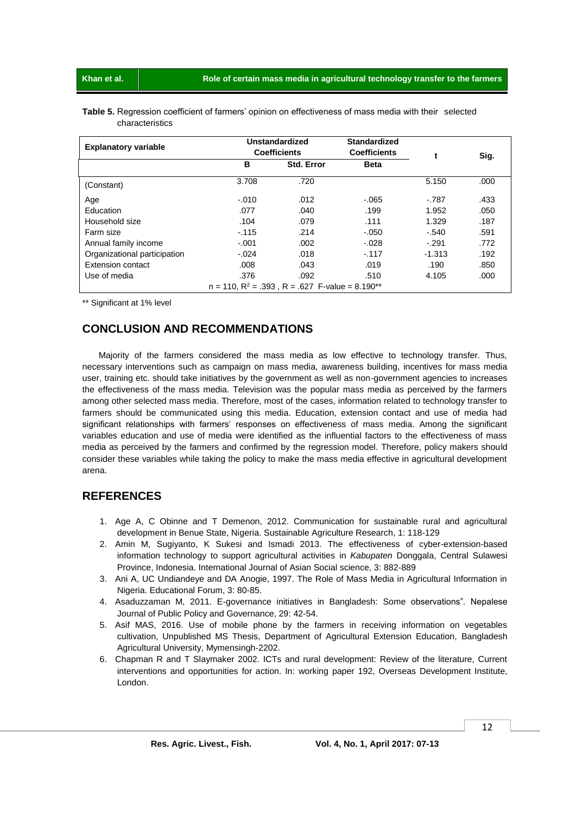**Khan et al. Role of certain mass media in agricultural technology transfer to the farmers**

| Table 5. Regression coefficient of farmers' opinion on effectiveness of mass media with their selected |  |  |  |
|--------------------------------------------------------------------------------------------------------|--|--|--|
| characteristics                                                                                        |  |  |  |

| <b>Explanatory variable</b>                             | <b>Unstandardized</b><br><b>Coefficients</b> |                   | <b>Standardized</b><br><b>Coefficients</b> |          | Sig. |  |
|---------------------------------------------------------|----------------------------------------------|-------------------|--------------------------------------------|----------|------|--|
|                                                         | в                                            | <b>Std. Error</b> |                                            |          |      |  |
| (Constant)                                              | 3.708                                        | .720              |                                            | 5.150    | .000 |  |
| Age                                                     | $-.010$                                      | .012              | $-065$                                     | $-.787$  | .433 |  |
| Education                                               | .077                                         | .040              | .199                                       | 1.952    | .050 |  |
| Household size                                          | .104                                         | .079              | .111                                       | 1.329    | .187 |  |
| Farm size                                               | $-115$                                       | .214              | $-.050$                                    | $-.540$  | .591 |  |
| Annual family income                                    | $-.001$                                      | .002              | $-.028$                                    | $-.291$  | .772 |  |
| Organizational participation                            | $-.024$                                      | .018              | $-117$                                     | $-1.313$ | .192 |  |
| Extension contact                                       | .008                                         | .043              | .019                                       | .190     | .850 |  |
| Use of media                                            | .376                                         | .092              | .510                                       | 4.105    | .000 |  |
| $n = 110$ , $R^2 = .393$ , $R = .627$ F-value = 8.190** |                                              |                   |                                            |          |      |  |

\*\* Significant at 1% level

# **CONCLUSION AND RECOMMENDATIONS**

Majority of the farmers considered the mass media as low effective to technology transfer. Thus, necessary interventions such as campaign on mass media, awareness building, incentives for mass media user, training etc. should take initiatives by the government as well as non-government agencies to increases the effectiveness of the mass media. Television was the popular mass media as perceived by the farmers among other selected mass media. Therefore, most of the cases, information related to technology transfer to farmers should be communicated using this media. Education, extension contact and use of media had significant relationships with farmers' responses on effectiveness of mass media. Among the significant variables education and use of media were identified as the influential factors to the effectiveness of mass media as perceived by the farmers and confirmed by the regression model. Therefore, policy makers should consider these variables while taking the policy to make the mass media effective in agricultural development arena.

# **REFERENCES**

- 1. Age A, C Obinne and T Demenon, 2012. Communication for sustainable rural and agricultural development in Benue State, Nigeria. Sustainable Agriculture Research, 1: 118-129
- 2. Amin M, Sugiyanto, K Sukesi and Ismadi 2013. The effectiveness of cyber-extension-based information technology to support agricultural activities in *Kabupaten* Donggala, Central Sulawesi Province, Indonesia. International Journal of Asian Social science, 3: 882-889
- 3. Ani A, UC Undiandeye and DA Anogie, 1997. The Role of Mass Media in Agricultural Information in Nigeria. Educational Forum, 3: 80-85.
- 4. Asaduzzaman M, 2011. E-governance initiatives in Bangladesh: Some observations". Nepalese Journal of Public Policy and Governance, 29: 42-54.
- 5. Asif MAS, 2016. Use of mobile phone by the farmers in receiving information on vegetables cultivation, Unpublished MS Thesis, Department of Agricultural Extension Education, Bangladesh Agricultural University, Mymensingh-2202.
- 6. Chapman R and T Slaymaker 2002. ICTs and rural development: Review of the literature, Current interventions and opportunities for action. In: working paper 192, Overseas Development Institute, London.